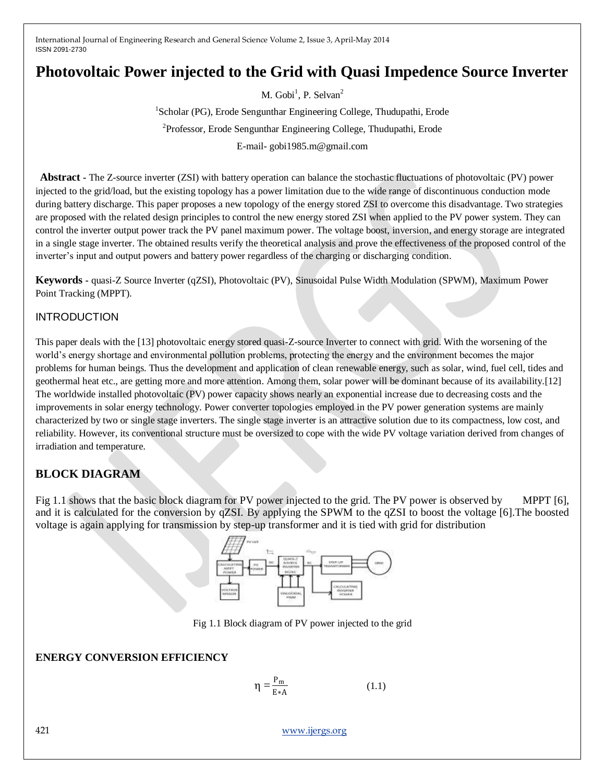# **Photovoltaic Power injected to the Grid with Quasi Impedence Source Inverter**

M. Gobi<sup>1</sup>, P. Selvan<sup>2</sup>

<sup>1</sup>Scholar (PG), Erode Sengunthar Engineering College, Thudupathi, Erode <sup>2</sup>Professor, Erode Sengunthar Engineering College, Thudupathi, Erode E-mail- gobi1985.m@gmail.com

**Abstract -** The Z-source inverter (ZSI) with battery operation can balance the stochastic fluctuations of photovoltaic (PV) power injected to the grid/load, but the existing topology has a power limitation due to the wide range of discontinuous conduction mode during battery discharge. This paper proposes a new topology of the energy stored ZSI to overcome this disadvantage. Two strategies are proposed with the related design principles to control the new energy stored ZSI when applied to the PV power system. They can control the inverter output power track the PV panel maximum power. The voltage boost, inversion, and energy storage are integrated in a single stage inverter. The obtained results verify the theoretical analysis and prove the effectiveness of the proposed control of the inverter's input and output powers and battery power regardless of the charging or discharging condition.

**Keywords -** quasi-Z Source Inverter (qZSI), Photovoltaic (PV), Sinusoidal Pulse Width Modulation (SPWM), Maximum Power Point Tracking (MPPT).

### INTRODUCTION

This paper deals with the [13] photovoltaic energy stored quasi-Z-source Inverter to connect with grid. With the worsening of the world's energy shortage and environmental pollution problems, protecting the energy and the environment becomes the major problems for human beings. Thus the development and application of clean renewable energy, such as solar, wind, fuel cell, tides and geothermal heat etc., are getting more and more attention. Among them, solar power will be dominant because of its availability.[12] The worldwide installed photovoltaic (PV) power capacity shows nearly an exponential increase due to decreasing costs and the improvements in solar energy technology. Power converter topologies employed in the PV power generation systems are mainly characterized by two or single stage inverters. The single stage inverter is an attractive solution due to its compactness, low cost, and reliability. However, its conventional structure must be oversized to cope with the wide PV voltage variation derived from changes of irradiation and temperature.

### **BLOCK DIAGRAM**

Fig 1.1 shows that the basic block diagram for PV power injected to the grid. The PV power is observed by MPPT [6], and it is calculated for the conversion by qZSI. By applying the SPWM to the qZSI to boost the voltage [6].The boosted voltage is again applying for transmission by step-up transformer and it is tied with grid for distribution



Fig 1.1 Block diagram of PV power injected to the grid

### **ENERGY CONVERSION EFFICIENCY**

$$
\eta = \frac{P_m}{E * A} \tag{1.1}
$$

421 [www.ijergs.org](http://www.ijergs.org/)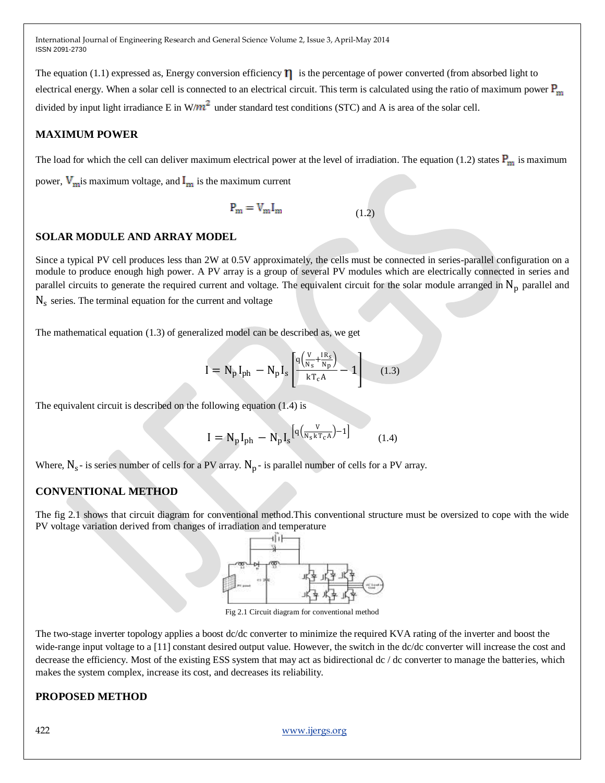The equation (1.1) expressed as, Energy conversion efficiency  $\eta$  is the percentage of power converted (from absorbed light to electrical energy. When a solar cell is connected to an electrical circuit. This term is calculated using the ratio of maximum power  $P_m$ divided by input light irradiance E in  $W/m^2$  under standard test conditions (STC) and A is area of the solar cell.

### **MAXIMUM POWER**

The load for which the cell can deliver maximum electrical power at the level of irradiation. The equation (1.2) states  $P_m$  is maximum power,  $V_m$  is maximum voltage, and  $I_m$  is the maximum current

$$
P_m = V_m I_m \tag{1.2}
$$

### **SOLAR MODULE AND ARRAY MODEL**

Since a typical PV cell produces less than 2W at 0.5V approximately, the cells must be connected in series-parallel configuration on a module to produce enough high power. A PV array is a group of several PV modules which are electrically connected in series and parallel circuits to generate the required current and voltage. The equivalent circuit for the solar module arranged in  $N<sub>p</sub>$  parallel and  $N_s$  series. The terminal equation for the current and voltage

The mathematical equation (1.3) of generalized model can be described as, we get

$$
I = N_p I_{ph} - N_p I_s \left[ \frac{q \left( \frac{V}{N_s} + \frac{IR_s}{N_p} \right)}{kT_c A} - 1 \right]
$$
 (1.3)

The equivalent circuit is described on the following equation (1.4) is

$$
I = N_p I_{ph} - N_p I_s^{\left[q\left(\frac{V}{N_s k T_c A}\right) - 1\right]}
$$
 (1.4)

Where,  $N_s$ - is series number of cells for a PV array.  $N_p$ - is parallel number of cells for a PV array.

### **CONVENTIONAL METHOD**

The fig 2.1 shows that circuit diagram for conventional method.This conventional structure must be oversized to cope with the wide PV voltage variation derived from changes of irradiation and temperature



Fig 2.1 Circuit diagram for conventional method

The two-stage inverter topology applies a boost dc/dc converter to minimize the required KVA rating of the inverter and boost the wide-range input voltage to a [11] constant desired output value. However, the switch in the dc/dc converter will increase the cost and decrease the efficiency. Most of the existing ESS system that may act as bidirectional dc / dc converter to manage the batteries, which makes the system complex, increase its cost, and decreases its reliability.

### **PROPOSED METHOD**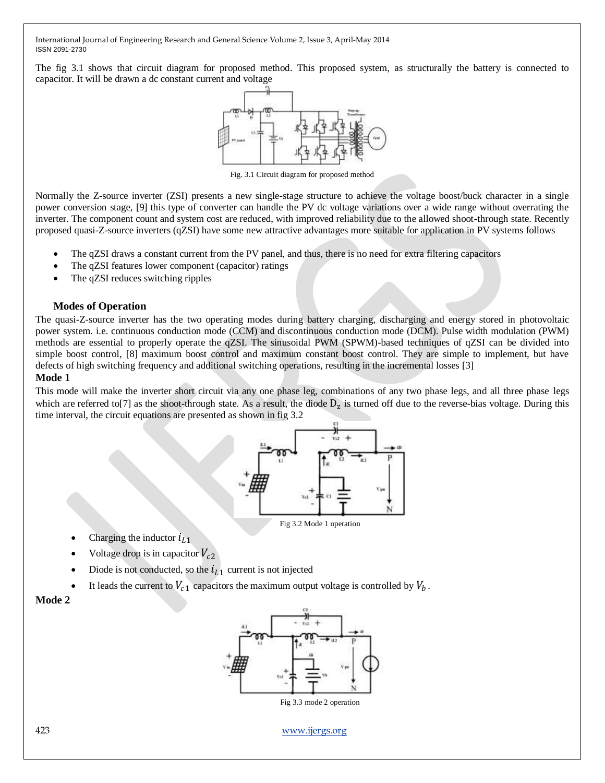The fig 3.1 shows that circuit diagram for proposed method. This proposed system, as structurally the battery is connected to capacitor. It will be drawn a dc constant current and voltage



Fig. 3.1 Circuit diagram for proposed method

Normally the Z-source inverter (ZSI) presents a new single-stage structure to achieve the voltage boost/buck character in a single power conversion stage, [9] this type of converter can handle the PV dc voltage variations over a wide range without overrating the inverter. The component count and system cost are reduced, with improved reliability due to the allowed shoot-through state. Recently proposed quasi-Z-source inverters (qZSI) have some new attractive advantages more suitable for application in PV systems follows

- The qZSI draws a constant current from the PV panel, and thus, there is no need for extra filtering capacitors
- The qZSI features lower component (capacitor) ratings
- The qZSI reduces switching ripples

#### **Modes of Operation**

The quasi-Z-source inverter has the two operating modes during battery charging, discharging and energy stored in photovoltaic power system. i.e. continuous conduction mode (CCM) and discontinuous conduction mode (DCM). Pulse width modulation (PWM) methods are essential to properly operate the qZSI. The sinusoidal PWM (SPWM)-based techniques of qZSI can be divided into simple boost control, [8] maximum boost control and maximum constant boost control. They are simple to implement, but have defects of high switching frequency and additional switching operations, resulting in the incremental losses [3]

#### **Mode 1**

This mode will make the inverter short circuit via any one phase leg, combinations of any two phase legs, and all three phase legs which are referred to<sup>[7]</sup> as the shoot-through state. As a result, the diode  $D_z$  is turned off due to the reverse-bias voltage. During this time interval, the circuit equations are presented as shown in fig 3.2



Fig 3.2 Mode 1 operation

- Charging the inductor  $i_{L1}$
- Voltage drop is in capacitor  $V_{c2}$
- Diode is not conducted, so the  $i_{L1}$  current is not injected
- It leads the current to  $V_{c1}$  capacitors the maximum output voltage is controlled by  $V_b$ .

#### **Mode 2**



423 [www.ijergs.org](http://www.ijergs.org/)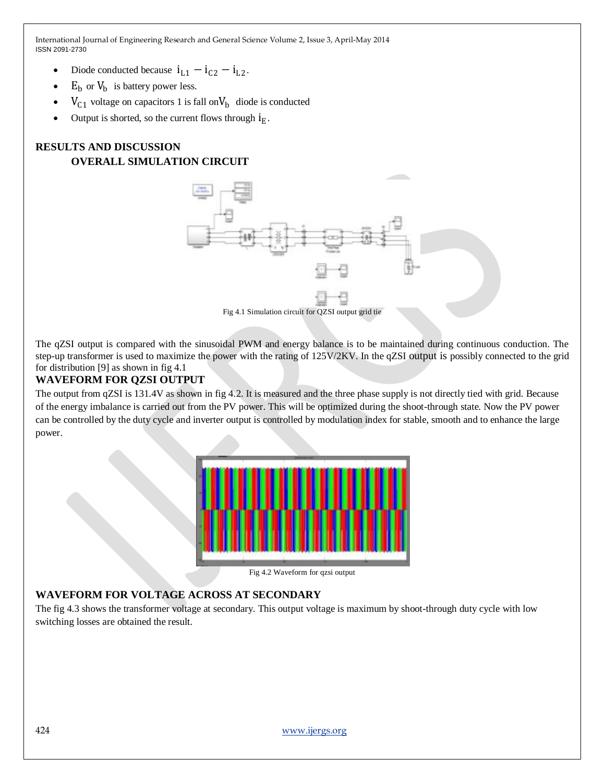- Diode conducted because  $i_{L1} i_{C2} i_{L2}$ .
- $E_b$  or  $V_b$  is battery power less.
- $V_{C1}$  voltage on capacitors 1 is fall on  $V_b$  diode is conducted
- Output is shorted, so the current flows through  $i_E$ .

## **RESULTS AND DISCUSSION OVERALL SIMULATION CIRCUIT**



The qZSI output is compared with the sinusoidal PWM and energy balance is to be maintained during continuous conduction. The step-up transformer is used to maximize the power with the rating of 125V/2KV. In the qZSI output is possibly connected to the grid for distribution [9] as shown in fig 4.1

### **WAVEFORM FOR QZSI OUTPUT**

The output from qZSI is 131.4V as shown in fig 4.2. It is measured and the three phase supply is not directly tied with grid. Because of the energy imbalance is carried out from the PV power. This will be optimized during the shoot-through state. Now the PV power can be controlled by the duty cycle and inverter output is controlled by modulation index for stable, smooth and to enhance the large power.



Fig 4.2 Waveform for qzsi output

### **WAVEFORM FOR VOLTAGE ACROSS AT SECONDARY**

The fig 4.3 shows the transformer voltage at secondary. This output voltage is maximum by shoot-through duty cycle with low switching losses are obtained the result.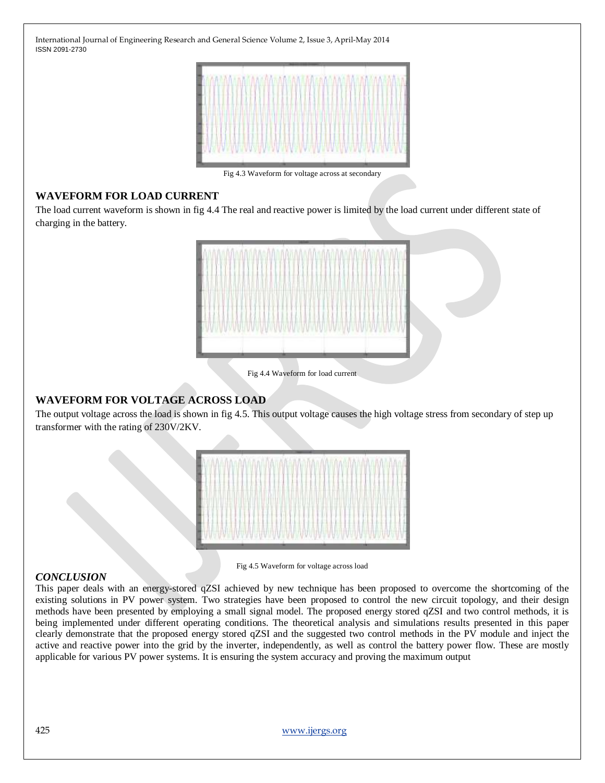

Fig 4.3 Waveform for voltage across at secondary

### **WAVEFORM FOR LOAD CURRENT**

The load current waveform is shown in fig 4.4 The real and reactive power is limited by the load current under different state of charging in the battery.



Fig 4.4 Waveform for load current

### **WAVEFORM FOR VOLTAGE ACROSS LOAD**

The output voltage across the load is shown in fig 4.5. This output voltage causes the high voltage stress from secondary of step up transformer with the rating of 230V/2KV.

| HARLING HARLOCET   |  |
|--------------------|--|
|                    |  |
|                    |  |
| <b>MMWWWWWWWWW</b> |  |

### *CONCLUSION*

Fig 4.5 Waveform for voltage across load

This paper deals with an energy-stored qZSI achieved by new technique has been proposed to overcome the shortcoming of the existing solutions in PV power system. Two strategies have been proposed to control the new circuit topology, and their design methods have been presented by employing a small signal model. The proposed energy stored qZSI and two control methods, it is being implemented under different operating conditions. The theoretical analysis and simulations results presented in this paper clearly demonstrate that the proposed energy stored qZSI and the suggested two control methods in the PV module and inject the active and reactive power into the grid by the inverter, independently, as well as control the battery power flow. These are mostly applicable for various PV power systems. It is ensuring the system accuracy and proving the maximum output